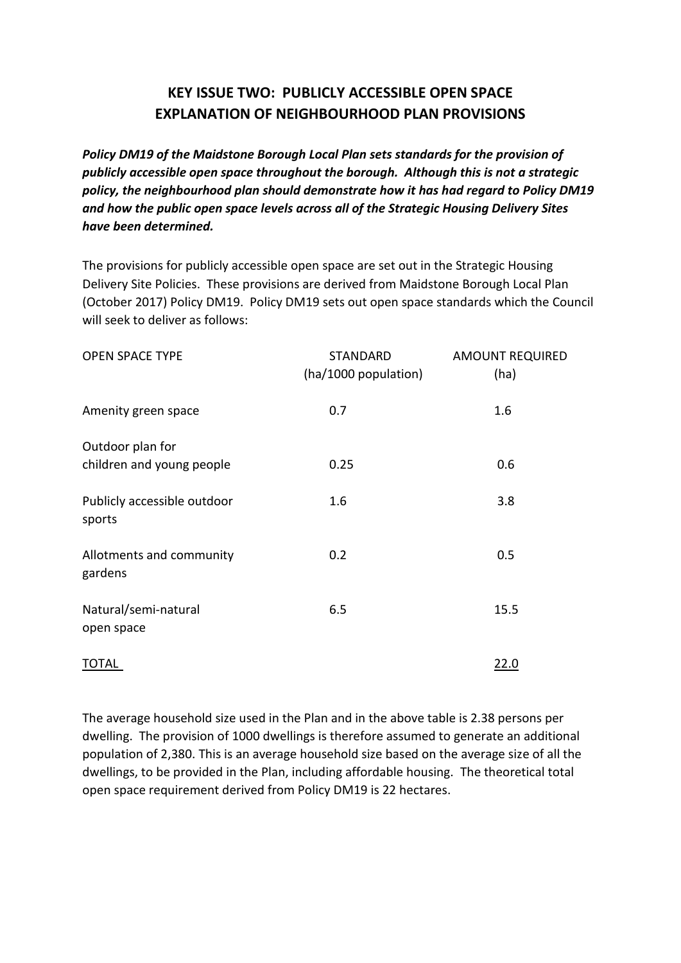## **KEY ISSUE TWO: PUBLICLY ACCESSIBLE OPEN SPACE EXPLANATION OF NEIGHBOURHOOD PLAN PROVISIONS**

*Policy DM19 of the Maidstone Borough Local Plan sets standards for the provision of publicly accessible open space throughout the borough. Although this is not a strategic policy, the neighbourhood plan should demonstrate how it has had regard to Policy DM19 and how the public open space levels across all of the Strategic Housing Delivery Sites have been determined.*

The provisions for publicly accessible open space are set out in the Strategic Housing Delivery Site Policies. These provisions are derived from Maidstone Borough Local Plan (October 2017) Policy DM19. Policy DM19 sets out open space standards which the Council will seek to deliver as follows:

| <b>OPEN SPACE TYPE</b>                        | STANDARD<br>(ha/1000 population) | <b>AMOUNT REQUIRED</b><br>(ha) |
|-----------------------------------------------|----------------------------------|--------------------------------|
| Amenity green space                           | 0.7                              | 1.6                            |
| Outdoor plan for<br>children and young people | 0.25                             | 0.6                            |
| Publicly accessible outdoor<br>sports         | 1.6                              | 3.8                            |
| Allotments and community<br>gardens           | 0.2                              | 0.5                            |
| Natural/semi-natural<br>open space            | 6.5                              | 15.5                           |
| TOTAL                                         |                                  | 22.0                           |

The average household size used in the Plan and in the above table is 2.38 persons per dwelling. The provision of 1000 dwellings is therefore assumed to generate an additional population of 2,380. This is an average household size based on the average size of all the dwellings, to be provided in the Plan, including affordable housing. The theoretical total open space requirement derived from Policy DM19 is 22 hectares.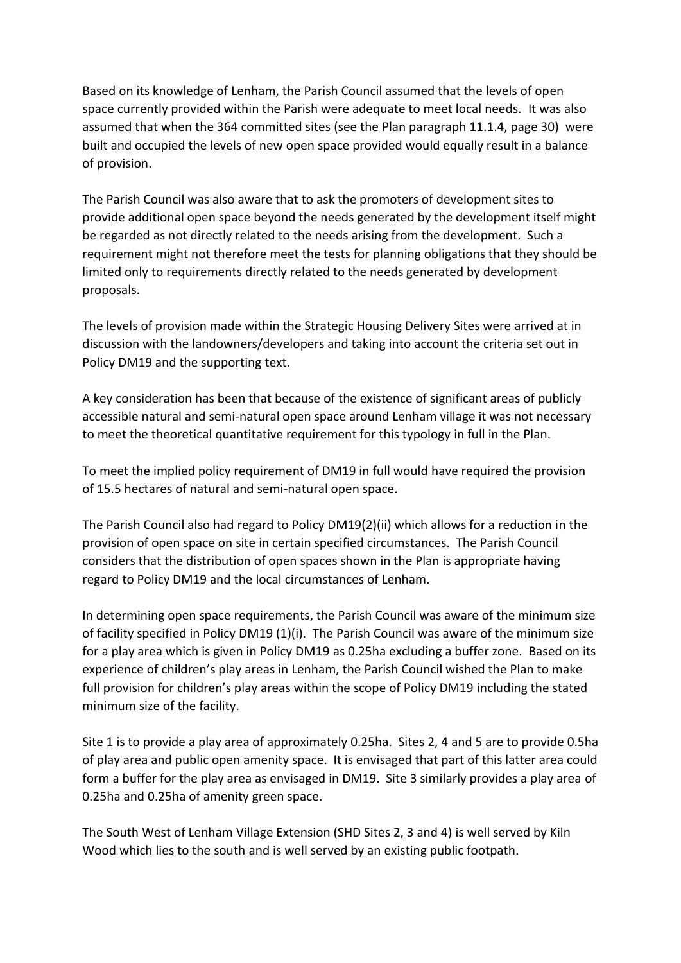Based on its knowledge of Lenham, the Parish Council assumed that the levels of open space currently provided within the Parish were adequate to meet local needs. It was also assumed that when the 364 committed sites (see the Plan paragraph 11.1.4, page 30) were built and occupied the levels of new open space provided would equally result in a balance of provision.

The Parish Council was also aware that to ask the promoters of development sites to provide additional open space beyond the needs generated by the development itself might be regarded as not directly related to the needs arising from the development. Such a requirement might not therefore meet the tests for planning obligations that they should be limited only to requirements directly related to the needs generated by development proposals.

The levels of provision made within the Strategic Housing Delivery Sites were arrived at in discussion with the landowners/developers and taking into account the criteria set out in Policy DM19 and the supporting text.

A key consideration has been that because of the existence of significant areas of publicly accessible natural and semi-natural open space around Lenham village it was not necessary to meet the theoretical quantitative requirement for this typology in full in the Plan.

To meet the implied policy requirement of DM19 in full would have required the provision of 15.5 hectares of natural and semi-natural open space.

The Parish Council also had regard to Policy DM19(2)(ii) which allows for a reduction in the provision of open space on site in certain specified circumstances. The Parish Council considers that the distribution of open spaces shown in the Plan is appropriate having regard to Policy DM19 and the local circumstances of Lenham.

In determining open space requirements, the Parish Council was aware of the minimum size of facility specified in Policy DM19 (1)(i). The Parish Council was aware of the minimum size for a play area which is given in Policy DM19 as 0.25ha excluding a buffer zone. Based on its experience of children's play areas in Lenham, the Parish Council wished the Plan to make full provision for children's play areas within the scope of Policy DM19 including the stated minimum size of the facility.

Site 1 is to provide a play area of approximately 0.25ha. Sites 2, 4 and 5 are to provide 0.5ha of play area and public open amenity space. It is envisaged that part of this latter area could form a buffer for the play area as envisaged in DM19. Site 3 similarly provides a play area of 0.25ha and 0.25ha of amenity green space.

The South West of Lenham Village Extension (SHD Sites 2, 3 and 4) is well served by Kiln Wood which lies to the south and is well served by an existing public footpath.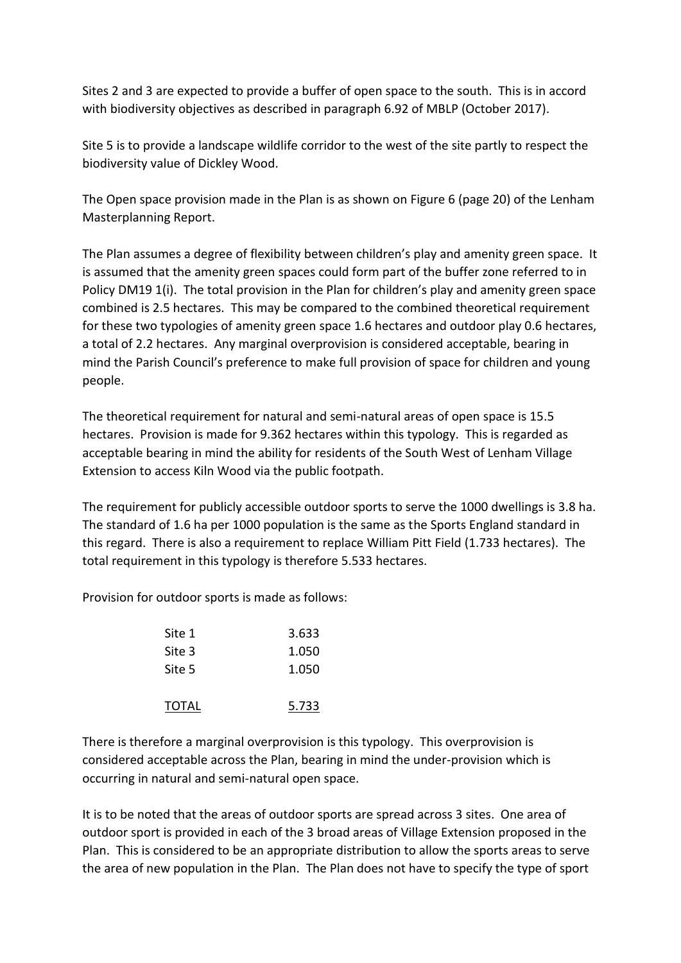Sites 2 and 3 are expected to provide a buffer of open space to the south. This is in accord with biodiversity objectives as described in paragraph 6.92 of MBLP (October 2017).

Site 5 is to provide a landscape wildlife corridor to the west of the site partly to respect the biodiversity value of Dickley Wood.

The Open space provision made in the Plan is as shown on Figure 6 (page 20) of the Lenham Masterplanning Report.

The Plan assumes a degree of flexibility between children's play and amenity green space. It is assumed that the amenity green spaces could form part of the buffer zone referred to in Policy DM19 1(i). The total provision in the Plan for children's play and amenity green space combined is 2.5 hectares. This may be compared to the combined theoretical requirement for these two typologies of amenity green space 1.6 hectares and outdoor play 0.6 hectares, a total of 2.2 hectares. Any marginal overprovision is considered acceptable, bearing in mind the Parish Council's preference to make full provision of space for children and young people.

The theoretical requirement for natural and semi-natural areas of open space is 15.5 hectares. Provision is made for 9.362 hectares within this typology. This is regarded as acceptable bearing in mind the ability for residents of the South West of Lenham Village Extension to access Kiln Wood via the public footpath.

The requirement for publicly accessible outdoor sports to serve the 1000 dwellings is 3.8 ha. The standard of 1.6 ha per 1000 population is the same as the Sports England standard in this regard. There is also a requirement to replace William Pitt Field (1.733 hectares). The total requirement in this typology is therefore 5.533 hectares.

Provision for outdoor sports is made as follows:

| Site 1 | 3.633 |
|--------|-------|
| Site 3 | 1.050 |
| Site 5 | 1.050 |
| TOTAL  | 5.733 |

There is therefore a marginal overprovision is this typology. This overprovision is considered acceptable across the Plan, bearing in mind the under-provision which is occurring in natural and semi-natural open space.

It is to be noted that the areas of outdoor sports are spread across 3 sites. One area of outdoor sport is provided in each of the 3 broad areas of Village Extension proposed in the Plan. This is considered to be an appropriate distribution to allow the sports areas to serve the area of new population in the Plan. The Plan does not have to specify the type of sport